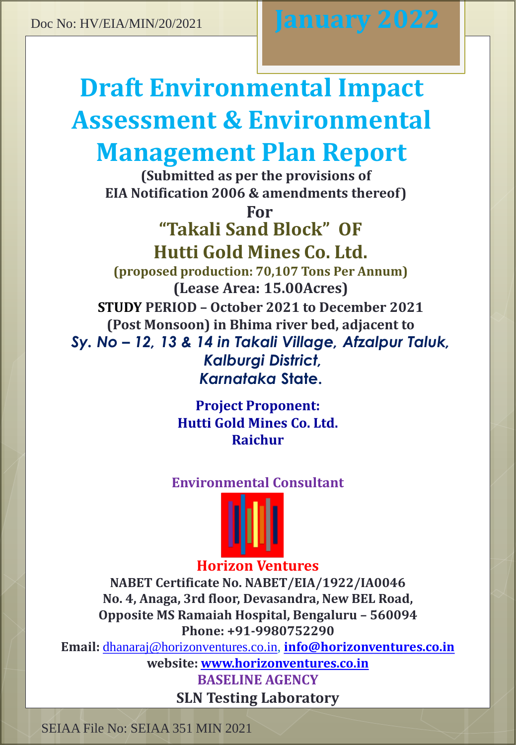# **Draft Environmental Impact Assessment & Environmental Management Plan Report**

**(Submitted as per the provisions of EIA Notification 2006 & amendments thereof)**

> **For "Takali Sand Block" OF Hutti Gold Mines Co. Ltd.**

**(proposed production: 70,107 Tons Per Annum) (Lease Area: 15.00Acres) STUDY PERIOD – October 2021 to December 2021 (Post Monsoon) in Bhima river bed, adjacent to** *Sy. No – 12, 13 & 14 in Takali Village, Afzalpur Taluk, Kalburgi District, Karnataka* **State.**

> **Project Proponent: Hutti Gold Mines Co. Ltd. Raichur**

# **Environmental Consultant**



# **Horizon Ventures**

**NABET Certificate No. NABET/EIA/1922/IA0046 No. 4, Anaga, 3rd floor, Devasandra, New BEL Road, Opposite MS Ramaiah Hospital, Bengaluru – 560094 Phone: +91-9980752290**

**Email:** [dhanaraj@horizonventures.co.in,](mailto:dhanaraj@horizonventures.co.in) **[info@horizonventures.co.in](mailto:info@horizonventures.co.in) website: [www.horizonventures.co.in](http://www.horizonventures.co.in/)**

> **BASELINE AGENCY SLN Testing Laboratory**

SEIAA File No: SEIAA 351 MIN 2021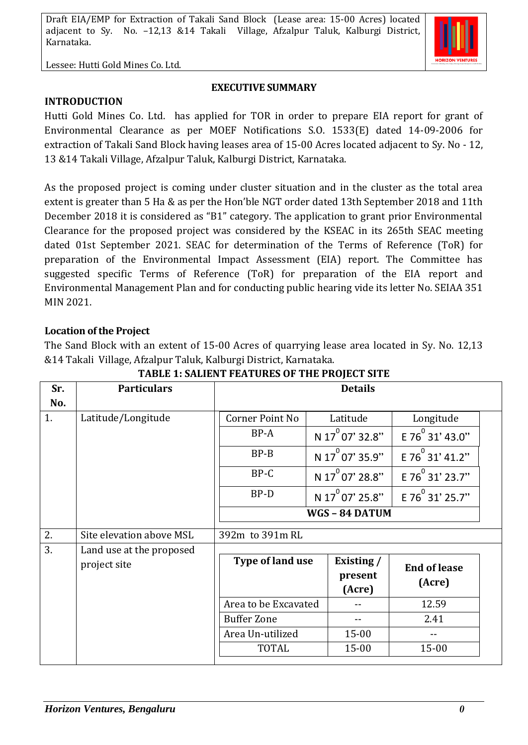Lessee: Hutti Gold Mines Co. Ltd.

#### **EXECUTIVE SUMMARY**

**INTRODUCTION**

Hutti Gold Mines Co. Ltd. has applied for TOR in order to prepare EIA report for grant of Environmental Clearance as per MOEF Notifications S.O. 1533(E) dated 14-09-2006 for extraction of Takali Sand Block having leases area of 15-00 Acres located adjacent to Sy. No - 12, 13 &14 Takali Village, Afzalpur Taluk, Kalburgi District, Karnataka.

As the proposed project is coming under cluster situation and in the cluster as the total area extent is greater than 5 Ha & as per the Hon'ble NGT order dated 13th September 2018 and 11th December 2018 it is considered as "B1" category. The application to grant prior Environmental Clearance for the proposed project was considered by the KSEAC in its 265th SEAC meeting dated 01st September 2021. SEAC for determination of the Terms of Reference (ToR) for preparation of the Environmental Impact Assessment (EIA) report. The Committee has suggested specific Terms of Reference (ToR) for preparation of the EIA report and Environmental Management Plan and for conducting public hearing vide its letter No. SEIAA 351 MIN 2021.

#### **Location of the Project**

The Sand Block with an extent of 15-00 Acres of quarrying lease area located in Sy. No. 12,13 &14 Takali Village, Afzalpur Taluk, Kalburgi District, Karnataka.

| Sr. | <b>Particulars</b>       | <b>Details</b>       |                             |                       |  |
|-----|--------------------------|----------------------|-----------------------------|-----------------------|--|
| No. |                          |                      |                             |                       |  |
| 1.  | Latitude/Longitude       | Corner Point No      | Latitude                    | Longitude             |  |
|     |                          | BP-A                 | N $17^{0}$ 07' 32.8"        | E 76 31' 43.0"        |  |
|     |                          | $BP-B$               | N 17 <sup>0</sup> 07' 35.9" | E 76 31' 41.2"        |  |
|     |                          | BP-C                 | N 17 <sup>0</sup> 07' 28.8" | E 76 31' 23.7"        |  |
|     |                          | BP-D                 | N 17 <sup>0</sup> 07' 25.8" | E 76 $^{0}$ 31' 25.7" |  |
|     |                          |                      | WGS - 84 DATUM              |                       |  |
| 2.  | Site elevation above MSL | 392m to 391m RL      |                             |                       |  |
| 3.  | Land use at the proposed |                      |                             |                       |  |
|     | project site             | Type of land use     | Existing /                  | <b>End of lease</b>   |  |
|     |                          |                      | present                     | (Acre)                |  |
|     |                          |                      | (Acre)                      |                       |  |
|     |                          | Area to be Excavated |                             | 12.59                 |  |
|     |                          | <b>Buffer Zone</b>   |                             | 2.41                  |  |
|     |                          | Area Un-utilized     | $15 - 00$                   |                       |  |
|     |                          | <b>TOTAL</b>         | $15 - 00$                   | $15 - 00$             |  |

**TABLE 1: SALIENT FEATURES OF THE PROJECT SITE**

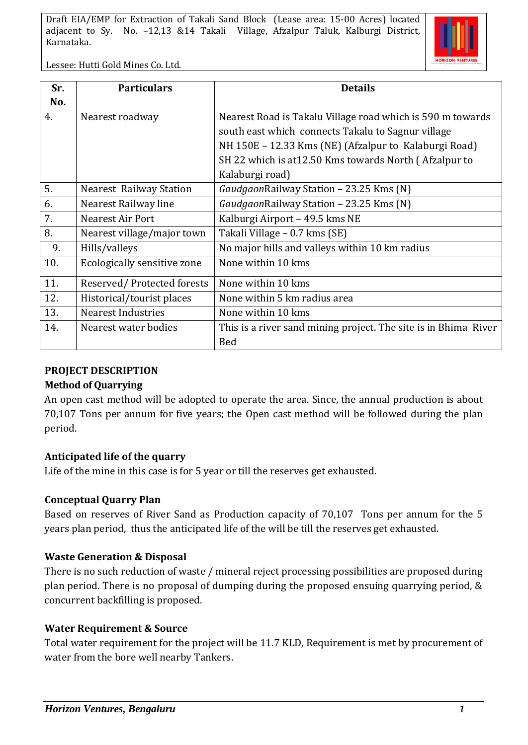

Lessee: Hutti Gold Mines Co. Ltd.

| Sr. | <b>Particulars</b>             | <b>Details</b>                                                  |  |
|-----|--------------------------------|-----------------------------------------------------------------|--|
| No. |                                |                                                                 |  |
| 4.  | Nearest roadway                | Nearest Road is Takalu Village road which is 590 m towards      |  |
|     |                                | south east which connects Takalu to Sagnur village              |  |
|     |                                | NH 150E – 12.33 Kms (NE) (Afzalpur to Kalaburgi Road)           |  |
|     |                                | SH 22 which is at 12.50 Kms towards North (Afzalpur to          |  |
|     |                                | Kalaburgi road)                                                 |  |
| 5.  | <b>Nearest Railway Station</b> | GaudgaonRailway Station - 23.25 Kms (N)                         |  |
| 6.  | Nearest Railway line           | GaudgaonRailway Station - 23.25 Kms (N)                         |  |
| 7.  | <b>Nearest Air Port</b>        | Kalburgi Airport - 49.5 kms NE                                  |  |
| 8.  | Nearest village/major town     | Takali Village - 0.7 kms (SE)                                   |  |
| 9.  | Hills/valleys                  | No major hills and valleys within 10 km radius                  |  |
| 10. | Ecologically sensitive zone    | None within 10 kms                                              |  |
| 11. | Reserved/Protected forests     | None within 10 kms                                              |  |
| 12. | Historical/tourist places      | None within 5 km radius area                                    |  |
| 13. | <b>Nearest Industries</b>      | None within 10 kms                                              |  |
| 14. | Nearest water bodies           | This is a river sand mining project. The site is in Bhima River |  |
|     |                                | <b>Bed</b>                                                      |  |

#### **PROJECT DESCRIPTION**

#### **Method of Quarrying**

An open cast method will be adopted to operate the area. Since, the annual production is about 70,107 Tons per annum for five years; the Open cast method will be followed during the plan period.

#### **Anticipated life of the quarry**

Life of the mine in this case is for 5 year or till the reserves get exhausted.

#### **Conceptual Quarry Plan**

Based on reserves of River Sand as Production capacity of 70,107 Tons per annum for the 5 years plan period, thus the anticipated life of the will be till the reserves get exhausted.

#### **Waste Generation & Disposal**

There is no such reduction of waste / mineral reject processing possibilities are proposed during plan period. There is no proposal of dumping during the proposed ensuing quarrying period, & concurrent backfilling is proposed.

#### **Water Requirement & Source**

Total water requirement for the project will be 11.7 KLD, Requirement is met by procurement of water from the bore well nearby Tankers.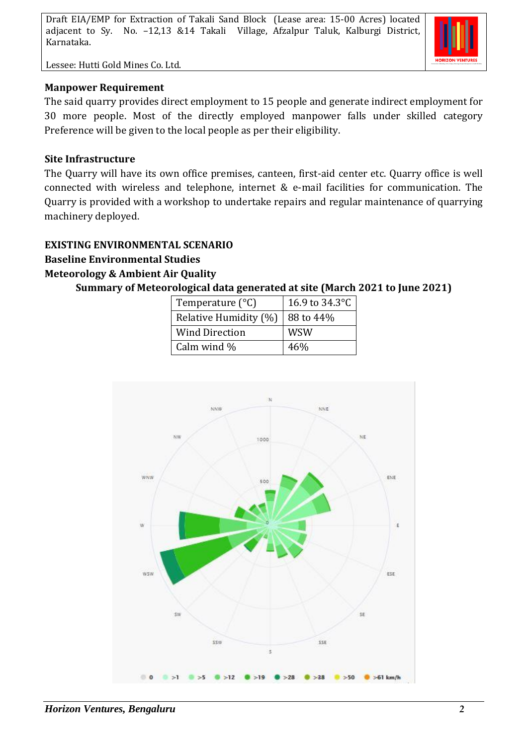Lessee: Hutti Gold Mines Co. Ltd.

#### **Manpower Requirement**

The said quarry provides direct employment to 15 people and generate indirect employment for 30 more people. Most of the directly employed manpower falls under skilled category Preference will be given to the local people as per their eligibility.

#### **Site Infrastructure**

The Quarry will have its own office premises, canteen, first-aid center etc. Quarry office is well connected with wireless and telephone, internet & e-mail facilities for communication. The Quarry is provided with a workshop to undertake repairs and regular maintenance of quarrying machinery deployed.

#### **EXISTING ENVIRONMENTAL SCENARIO**

#### **Baseline Environmental Studies**

#### **Meteorology & Ambient Air Quality**

**Summary of Meteorological data generated at site (March 2021 to June 2021)**

| Temperature $(^{\circ}C)$ | 16.9 to 34.3°C |  |
|---------------------------|----------------|--|
| Relative Humidity (%)     | 88 to 44%      |  |
| <b>Wind Direction</b>     | WSW            |  |
| Calm wind %               | 46%            |  |

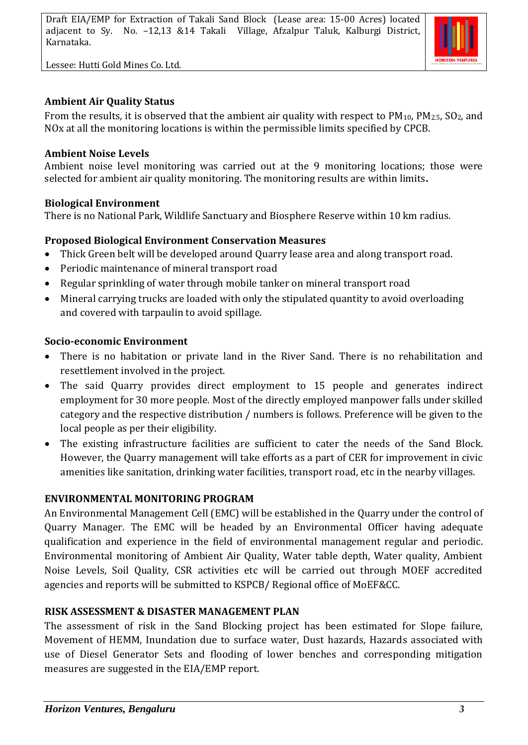Lessee: Hutti Gold Mines Co. Ltd.



#### **Ambient Air Quality Status**

From the results, it is observed that the ambient air quality with respect to  $PM_{10}$ ,  $PM_{2.5}$ ,  $SO_2$ , and NOx at all the monitoring locations is within the permissible limits specified by CPCB.

#### **Ambient Noise Levels**

Ambient noise level monitoring was carried out at the 9 monitoring locations; those were selected for ambient air quality monitoring. The monitoring results are within limits**.**

#### **Biological Environment**

There is no National Park, Wildlife Sanctuary and Biosphere Reserve within 10 km radius.

#### **Proposed Biological Environment Conservation Measures**

- Thick Green belt will be developed around Quarry lease area and along transport road.
- Periodic maintenance of mineral transport road
- Regular sprinkling of water through mobile tanker on mineral transport road
- Mineral carrying trucks are loaded with only the stipulated quantity to avoid overloading and covered with tarpaulin to avoid spillage.

#### **Socio-economic Environment**

- There is no habitation or private land in the River Sand. There is no rehabilitation and resettlement involved in the project.
- The said Quarry provides direct employment to 15 people and generates indirect employment for 30 more people. Most of the directly employed manpower falls under skilled category and the respective distribution / numbers is follows. Preference will be given to the local people as per their eligibility.
- The existing infrastructure facilities are sufficient to cater the needs of the Sand Block. However, the Quarry management will take efforts as a part of CER for improvement in civic amenities like sanitation, drinking water facilities, transport road, etc in the nearby villages.

#### **ENVIRONMENTAL MONITORING PROGRAM**

An Environmental Management Cell (EMC) will be established in the Quarry under the control of Quarry Manager. The EMC will be headed by an Environmental Officer having adequate qualification and experience in the field of environmental management regular and periodic. Environmental monitoring of Ambient Air Quality, Water table depth, Water quality, Ambient Noise Levels, Soil Quality, CSR activities etc will be carried out through MOEF accredited agencies and reports will be submitted to KSPCB/ Regional office of MoEF&CC.

#### **RISK ASSESSMENT & DISASTER MANAGEMENT PLAN**

The assessment of risk in the Sand Blocking project has been estimated for Slope failure, Movement of HEMM, Inundation due to surface water, Dust hazards, Hazards associated with use of Diesel Generator Sets and flooding of lower benches and corresponding mitigation measures are suggested in the EIA/EMP report.